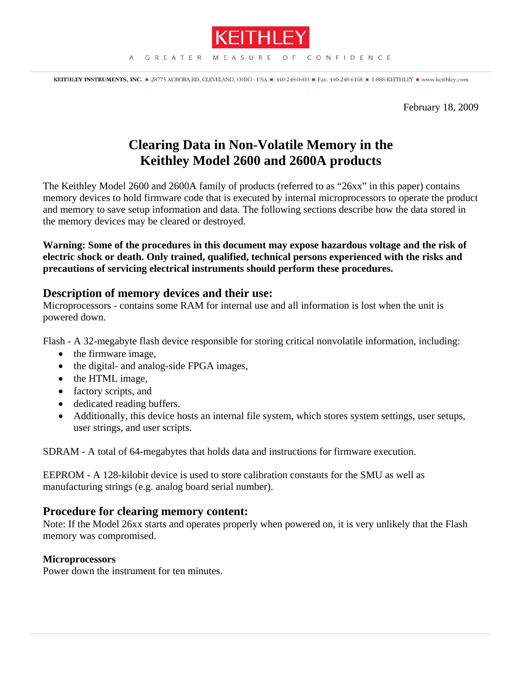

KEITHLEY INSTRUMENTS, INC. 28775 AURORA RD, CLEVELAND, OHIO - USA = 440-248-0400 = Fax: 440-248-6168 = 1-888-KEITHLEY = www.keithley.com

February 18, 2009

# **Clearing Data in Non-Volatile Memory in the Keithley Model 2600 and 2600A products**

The Keithley Model 2600 and 2600A family of products (referred to as "26xx" in this paper) contains memory devices to hold firmware code that is executed by internal microprocessors to operate the product and memory to save setup information and data. The following sections describe how the data stored in the memory devices may be cleared or destroyed.

**Warning: Some of the procedures in this document may expose hazardous voltage and the risk of electric shock or death. Only trained, qualified, technical persons experienced with the risks and precautions of servicing electrical instruments should perform these procedures.** 

## **Description of memory devices and their use:**

Microprocessors - contains some RAM for internal use and all information is lost when the unit is powered down.

Flash - A 32-megabyte flash device responsible for storing critical nonvolatile information, including:

- the firmware image,
- the digital- and analog-side FPGA images,
- the HTML image,
- factory scripts, and
- dedicated reading buffers.
- Additionally, this device hosts an internal file system, which stores system settings, user setups, user strings, and user scripts.

SDRAM - A total of 64-megabytes that holds data and instructions for firmware execution.

EEPROM - A 128-kilobit device is used to store calibration constants for the SMU as well as manufacturing strings (e.g. analog board serial number).

## **Procedure for clearing memory content:**

Note: If the Model 26xx starts and operates properly when powered on, it is very unlikely that the Flash memory was compromised.

## **Microprocessors**

Power down the instrument for ten minutes.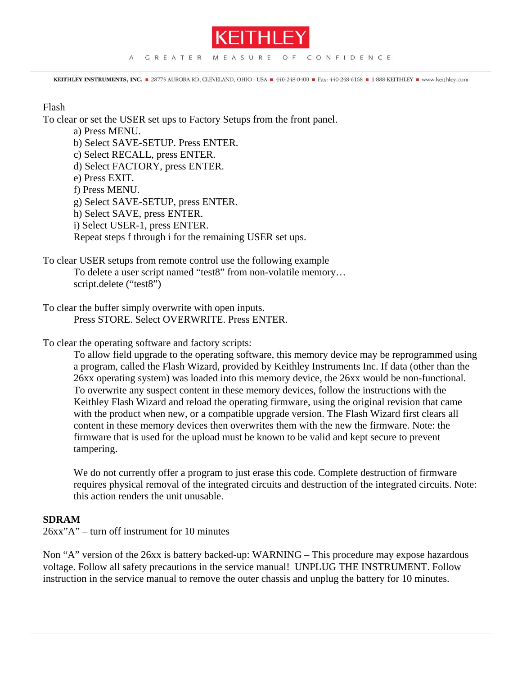

KEITHLEY INSTRUMENTS, INC. 28775 AURORA RD, CLEVELAND, OHIO - USA = 440-248-0400 = Fax: 440-248-6168 = 1-888-KEITHLEY = www.keithley.com

#### Flash

To clear or set the USER set ups to Factory Setups from the front panel.

a) Press MENU.

b) Select SAVE-SETUP. Press ENTER.

c) Select RECALL, press ENTER.

d) Select FACTORY, press ENTER.

e) Press EXIT.

f) Press MENU.

g) Select SAVE-SETUP, press ENTER.

h) Select SAVE, press ENTER.

i) Select USER-1, press ENTER.

Repeat steps f through i for the remaining USER set ups.

To clear USER setups from remote control use the following example

To delete a user script named "test8" from non-volatile memory… script.delete ("test8")

To clear the buffer simply overwrite with open inputs. Press STORE. Select OVERWRITE. Press ENTER.

To clear the operating software and factory scripts:

To allow field upgrade to the operating software, this memory device may be reprogrammed using a program, called the Flash Wizard, provided by Keithley Instruments Inc. If data (other than the 26xx operating system) was loaded into this memory device, the 26xx would be non-functional. To overwrite any suspect content in these memory devices, follow the instructions with the Keithley Flash Wizard and reload the operating firmware, using the original revision that came with the product when new, or a compatible upgrade version. The Flash Wizard first clears all content in these memory devices then overwrites them with the new the firmware. Note: the firmware that is used for the upload must be known to be valid and kept secure to prevent tampering.

We do not currently offer a program to just erase this code. Complete destruction of firmware requires physical removal of the integrated circuits and destruction of the integrated circuits. Note: this action renders the unit unusable.

### **SDRAM**

26xx"A" – turn off instrument for 10 minutes

Non "A" version of the 26xx is battery backed-up: WARNING – This procedure may expose hazardous voltage. Follow all safety precautions in the service manual! UNPLUG THE INSTRUMENT. Follow instruction in the service manual to remove the outer chassis and unplug the battery for 10 minutes.